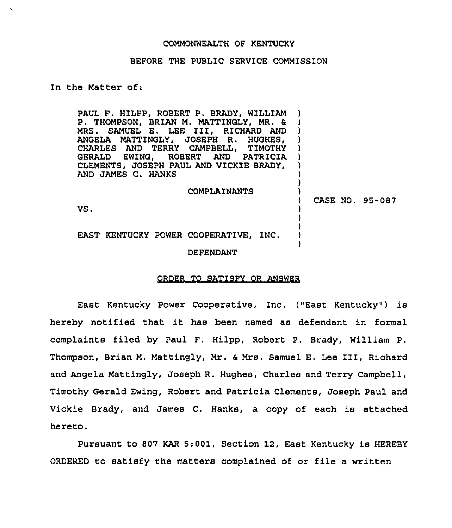### COMMONWEALTH OF KENTUCKY

# BEFORE THE PUBLIC SERVICE COMMISSION

In the Matter of:

 $\mathbf{v}$ 

| PAUL F. HILPP, ROBERT P. BRADY, WILLIAM<br>P. THOMPSON, BRIAN M. MATTINGLY, MR. &<br>MRS. SAMUEL E. LEE III, RICHARD AND<br>ANGELA MATTINGLY, JOSEPH R. HUGHES,<br>CHARLES AND TERRY CAMPBELL, TIMOTHY<br>GERALD EWING, ROBERT AND PATRICIA<br>CLEMENTS, JOSEPH PAUL AND VICKIE BRADY,<br>AND JAMES C. HANKS |                 |
|--------------------------------------------------------------------------------------------------------------------------------------------------------------------------------------------------------------------------------------------------------------------------------------------------------------|-----------------|
| COMPLAINANTS<br>VS.                                                                                                                                                                                                                                                                                          | CASE NO. 95-087 |
| EAST KENTUCKY POWER COOPERATIVE, INC.                                                                                                                                                                                                                                                                        |                 |

)

EAST KENTUCKY POWER COOPERATIVE, INC. DEFENDANT

# ORDER TO SATISFY OR ANSWER

East Kentucky Power Cooperative, Inc. ("East Kentucky") is hereby notified that it has been named as defendant in formal complaints filed by Paul F. Hilpp, Robert P. Brady, William P. Thompson, Brian M. Mattingly, Mr. & Mrs. Samuel E. Lee III, Richard and Angela Mattingly, Joseph R. Hughes, Charles and Terry Campbell, Timothy Gerald Ewing, Robert and Patricia Clemente, Joseph Paul and Vickie Brady, and James C. Hanks, a copy of each is attached hereto.

Pursuant to 807 KAR 5:001, Section 12, East Kentucky is HEREBY ORDERED to satisfy the matters complained of or file a written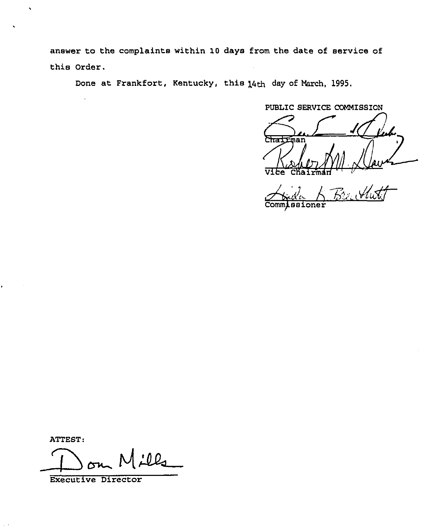answer to the complaints within 10 days from the date of service of this Order.

Done at Frankfort, Kentucky, this 14th day of March, 1995.

PUBLIC SERVICE COMMISSION

 $K_{24}$ Chairman<br>Kolon MI (Jaux)

oner Comm 881

ATTEST:

<u>:lls</u>

Executive Director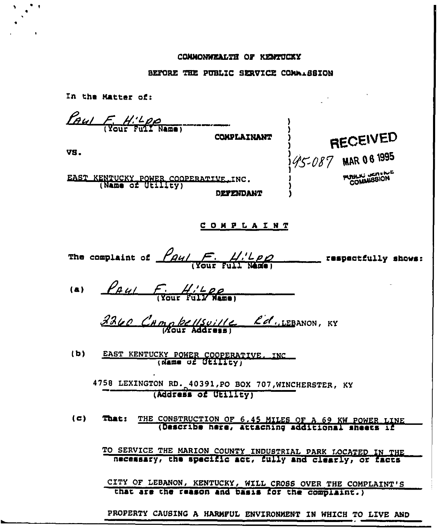# COMMONWEALTH OF KENTUCKY

 $\frac{1}{2} \sum_{i=1}^{n} \frac{1}{2} \sum_{i=1}^{n} \frac{1}{2} \sum_{i=1}^{n} \frac{1}{2} \sum_{i=1}^{n} \frac{1}{2} \sum_{i=1}^{n} \frac{1}{2} \sum_{i=1}^{n} \frac{1}{2} \sum_{i=1}^{n} \frac{1}{2} \sum_{i=1}^{n} \frac{1}{2} \sum_{i=1}^{n} \frac{1}{2} \sum_{i=1}^{n} \frac{1}{2} \sum_{i=1}^{n} \frac{1}{2} \sum_{i=1}^{n} \frac{1}{2} \sum_{i=1}^{n$ 

 $\mathcal{A}$ 

 $\blacksquare$ 

 $\sim$   $\star$  $\mathbf{r}$ 

# BEFORE THE PUBLIC SERVICE COMMASSION

| In the Matter of:                                                                                                            |  |
|------------------------------------------------------------------------------------------------------------------------------|--|
| Paul F. H: Lee<br>RECEIVED<br>COMPLAINANT                                                                                    |  |
| VS.                                                                                                                          |  |
| EAST KENTUCKY POWER COOPERATIVE INC.<br>(Name of Utility)<br><b>DEFENDANT</b>                                                |  |
| <b>COMPLAINT</b>                                                                                                             |  |
| The complaint of $\frac{\rho_{\mu\nu}}{\sqrt{2m+5m+1}}$ $\frac{\mu_{\nu}^{\prime\prime}L\rho\rho}{2m+1}$ respectfully shows: |  |
|                                                                                                                              |  |
| 2360 CHMpbellsville Ed. LEBANON, KY                                                                                          |  |
| (b)<br>EAST KENTUCKY POWER COOPERATIVE. INC.                                                                                 |  |
| 4758 LEXINGTON RD. 40391, PO BOX 707, WINCHERSTER, KY                                                                        |  |
| (c)<br>That: THE CONSTRUCTION OF 6.45 MILES OF A 69 KW POWER LINE<br>(Describe here, attaching additional sheets if          |  |
| TO SERVICE THE MARION COUNTY INDUSTRIAL PARK LOCATED IN THE<br>necessary, the specific act, fully and clearly, or facts      |  |
| CITY OF LEBANON, KENTUCKY, WILL CROSS OVER THE COMPLAINT'S<br>that are the reason and basis for the complaint.)              |  |
| PROPERTY CAUSING A HARMFUL ENVIRONMENT IN WHICH TO LIVE AND                                                                  |  |

 $\sim$   $\sim$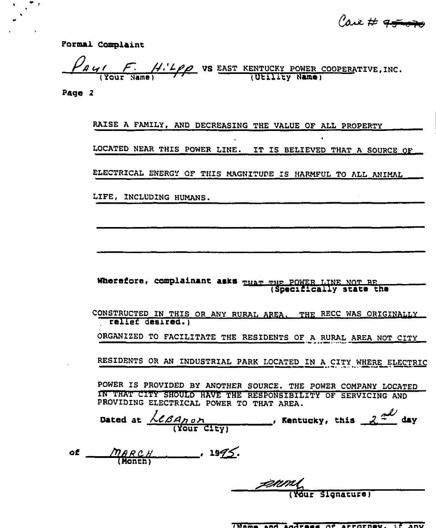Care #  $777$ 

Pormal Complaint

Aul F. H. Lep vs EAST KENTUCKY POWER COOPERATIVE, INC.

Page 2

 $\bullet$ 

 $\overline{1}$ 

RAISE A FAMILY, AND DECREASING THE VALUE OF ALL PROPERTY LOCATED NEAR THIS POWER LINE. IT IS BELIEVED THAT A SOURCE OF ELECTRICAL ENERGY OF THIS MAGNITUDE IS HARMFUL TO ALL ANIMAL LIFE, INCLUDING HUMANS. Wherefore, complainant asks THAT THE POWER LINE NOT BE (Spacifically state the

CONSTRUCTED IN THIS OR ANY RURAL AREA, THE RECC WAS ORIGINALLY relief desired.) ORGANIZED TO FACILITATE THE RESIDENTS OF A RURAL AREA NOT CITY RESIDENTS OR AN INDUSTRIAL PARK LOCATED IN A CITY WHERE ELECTRIC

POWER IS PROVIDED BY ANOTHER SOURCE. THE POWER COMPANY LOCATED IN THAT CITY SHOULD HAVE THE RESPONSIBILITY OF SERVICING AND PROVIDING ELECTRICAL POWER TO THAT AREA.

Dated at  $\frac{\lambda_{CGA, \sigma\lambda}}{(\text{Your City})}$  $\frac{1}{\sqrt{2}}$ , Kentucky, this  $\frac{2}{\sqrt{2}}$  day

of  $\frac{M^{\beta}RCH}{(M^{\beta}R)H}$ , 1975.

MINI

Wame and andreas of arrothey, if any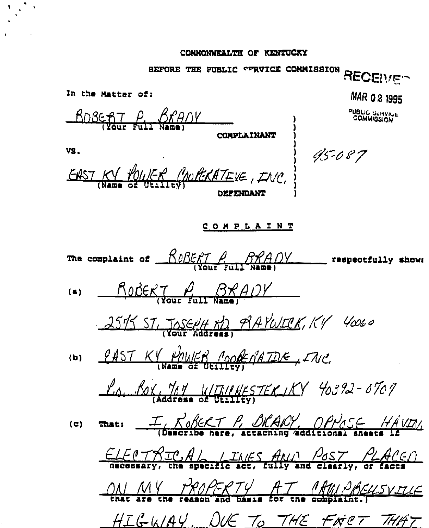# CONNONWEALTH OF KENTUCKY

BEFORE THE PUBLIC OFRVICE COMMISSION

In the Matter of: ROBERT P. BRADY **COMPLAINANT** VB.  $45 - 087$ EAST KY POWER COORERATEVE, INC. DEPENDANT COMPLAINT

The complaint of ROBERT A BRADY **Eespectfully shows** ROBERT PUBRADY  $(4)$ 2515 ST, JOSEPH ND PSAYWICK, KY 40060 CAST KY POWER COORE RATIVE, INC.  $(b)$ La Rox Mr WITHHESTER XY 40392-0707 INSPERT P. BRANY OPPOSE HAVING  $(c)$  $ELEOTRIC, A/$   $INES$   $ANN$  POST PLACED <u>ON MY PROPERTY AT CAMPBELLSVILLE</u> HIGWAY, OUE TO THE FROT THAT

**MAR 0 2 1995** 

**PUBLIC SERVICE**<br>COMMISSION

RECENTER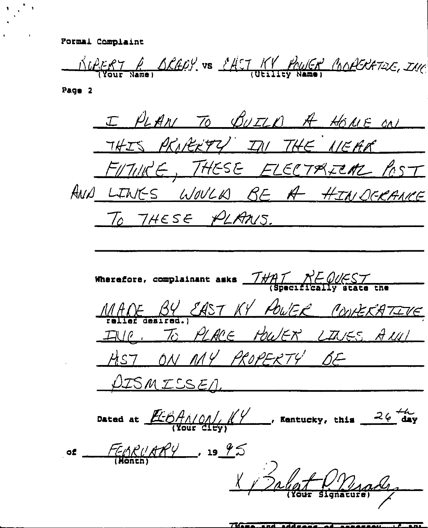Pormal Complaint

<u>ROBERT A BRADY</u> VS EAST KY POWER COOPERATOR, INC.

Page 2

I PLAN TO BUILD A HOME ON  $\overline{\phantom{a}}$ THIS PRIPERTY IN THE NEAR FUTURE, THESE ELECTRICAL POST AND LIWES WOULD BE A HINDERANCE TO THESE PLANS. Wherefore, complainant asks  $\frac{7 \# \pi}{4}$ ,  $\frac{N}{2}$ ,  $\frac{Q}{2}$ ,  $\frac{S}{2}$ MADE BY EAST KY POWER COOPERATIVE INC. To PLACE HOWER LINES ANNI HST ON MY PROPERTY BE <u>DISMISSEN</u> Dated at  $\underline{H} \underline{\partial} \underline{A} \underline{\partial} \underline{\underline{A}} \underline{\underline{B}}$ , Rentucky, this  $\underline{A} \underline{B}$  day 02 FEDRUARY 1995 X Balat P. Myach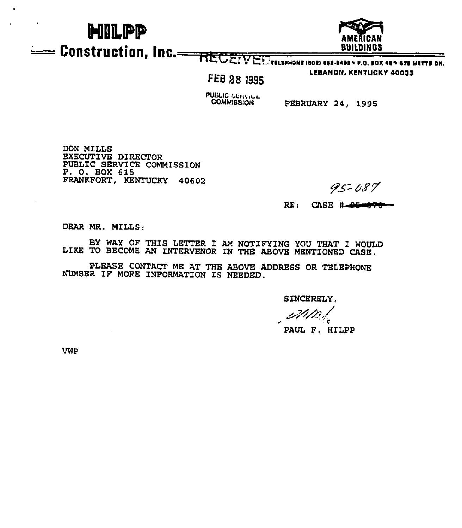

# Construction, Inc.<del> RECEIV</del>

**HILPP** 

 $\ddot{\phantom{0}}$ 

 $\sim$   $\sim$ 

~+~@' I,".,TOLOPIIOXO IOOOI OOO O1OO <sup>w</sup> <sup>~</sup> O. OOX <sup>1</sup><sup>~</sup> <sup>1</sup> OTO MOTTO Oll.

LEBANON, KENTUCKY 40033

FEB 28 1995

PUBLIC SERVICE

FEBRUARY 24, 1995

DON MILLS EXECUTIVE DIRECTOR PUBLIC SERVICE COMMISSION P. 0. BOK <sup>615</sup> FRANKFORT, KENTUCKY 40602

95-087

RE: CASE # 05-07

DBAR MR. MILLS:

BY WAY OF THIS LETTER <sup>I</sup> AM NOTIFYING YOU THAT <sup>I</sup> WOULD LIKE TO BBCOMB AN INTERVENOR IN THE ABOVE MENTIONBD CASE.

PLEASE CONTACT ME AT THB ABOVE ADDRESS OR TELEPHONE NUMBER IF MORE INFORMATION IS NEEDED.

SINCERELY,

 $\mathscr{L}\!\mathscr{U}\!\mathscr{D}$  that

PAUL F. HILPP

**VWP**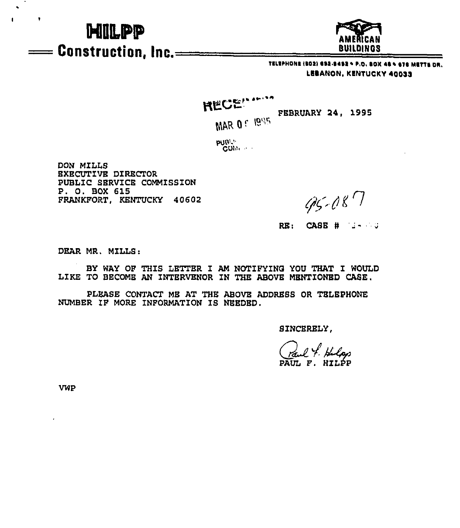

 $\bullet$ 

 $\blacksquare$ 

 $\rightarrow$ 



TELEPHONE (502) 692-9492 . P.O. BOX 48 . 676 METTS OR. LEBANON, KENTUCKY 40033

**RECENTING** 

MAR OF 1995

PUBL. **COM** 

DON MILLS **EXECUTIVE DIRECTOR** PUBLIC SERVICE COMMISSION P. O. BOX 615 FRANKFORT, KENTUCKY 40602

 $95 - 087$ 

 $R$ **E**: CASE  $\sharp$   $\Box$   $\Box$ 

**FEBRUARY 24, 1995** 

DEAR MR. MILLS:

BY WAY OF THIS LETTER I AM NOTIFYING YOU THAT I WOULD LIKE TO BECOME AN INTERVENOR IN THE ABOVE MENTIONED CASE.

PLEASE CONTACT ME AT THE ABOVE ADDRESS OR TELEPHONE NUMBER IF MORE INFORMATION IS NEEDED.

**SINCERELY** 

PAUL F. HILPP

**VWP**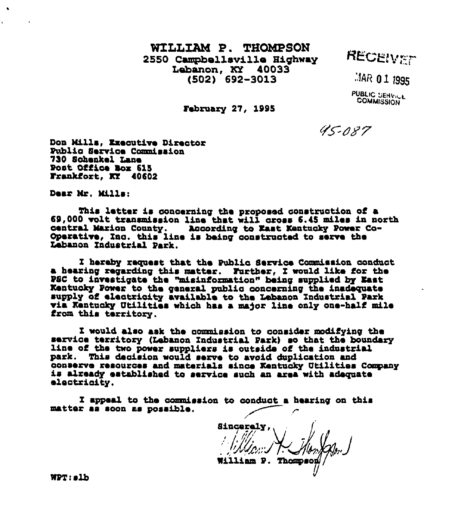WILLIAM P. THOMPSON 2550 Campbellsville Highway Lebanon. KY 40033  $(502)$  692-3013

RECEIVER

MAR 0 1 1995

PUBLIC SEHVICE **COMMISSION** 

February 27, 1995

 $45 - 087$ 

Don Milla. Executive Director Public Service Commission 730 Schenkel Lane Post Office Box 615 Frankfort. KY 40602

Dear Mr. Mills:

This letter is concerning the proposed construction of a 69,000 volt transmission line that will cross 6.45 miles in north central Marion County. According to East Kentucky Power Co-Operative, Inc. this line is being constructed to serve the Lebanon Industrial Park.

I hereby request that the Public Service Commission conduct a hearing regarding this matter. Further, I would like for the PSC to investigate the "misinformation" being supplied by East Kentucky Fower to the general public concerning the insdequate supply of electricity available to the Lebanon Industrial Park via Kentucky Utilities which has a major line only one-half mile from this territory.

I would also ask the commission to consider modifying the service territory (Lebanon Industrial Park) so that the boundary line of the two power suppliers is outside of the industrial park. This decision would serve to avoid duplication and conserve resources and materials since Kentucky Utilities Company is already established to service such an area with adequate electricity.

I appeal to the commission to conduct a hearing on this matter as soon as possible.

Sincerely William P.

WPT: alb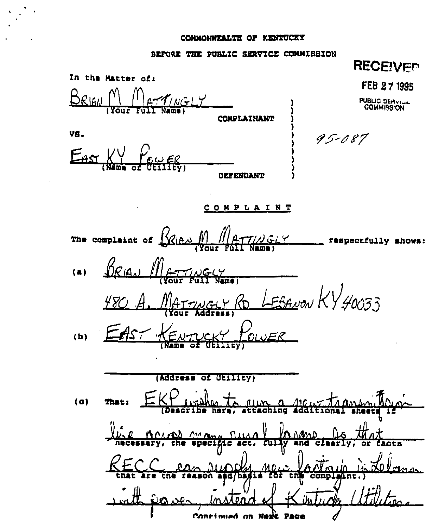# COMMONWEALTH OF KENTUCKY

# BEFORE THE PUBLIC SERVICE COMMISSION

**RECEIVER** In the Matter of: FEB 27 1995  $B_{\mathcal{R}$ IAN **PUBLIC SERVICE**<br>COMMISSION CONPLAINANT VS. 95-087  $f_{\text{euffey}}$  $E_{\text{as}}$   $K_{\text{as}}^{\vee}$ **DEFENDANT** COMPLAINT  $R_{RPA}$  $ATTIVGLY$ The complaint of respectfully shows:  $(a)$ TWGL v<br>Name 1 EBANON KY 40033 480 EAS ENTUC  $F$  $(b)$ (Address of UEIlley)  $(c)$ **That:** ttaching many nu  $MAD$ **AAA ACER** cap Can Aunous  $MO$ 1453 Eĥ  $c<sub>cm</sub>$ the Continued on Next Page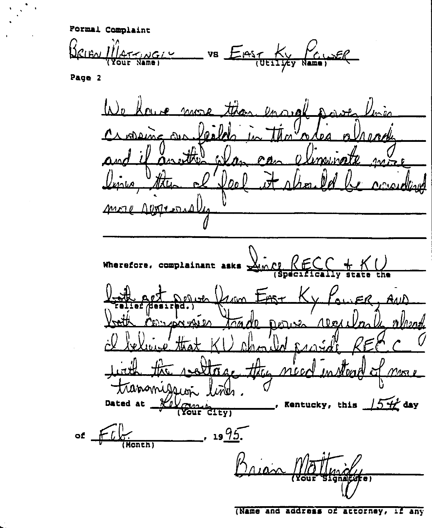Formal Complaint

VS EAST KY MCWER NGIL

Page 2

MACTR へんき Smcp KEC Wherefore, complainant asks  $\eta$  $101.32$  $10ml$  $\overline{\Lambda}$ /1  $AD$  $\pi$  $\frac{1}{2}$ argnissi ∧\ปีภ Dated at Rentucky, this  $154$ day (Tanza)  $, 19\frac{95}{5}.$  $\circ$ f  $\overline{\phantom{a}}$ lonth)  $\overline{\mathbf{e}}$  )

(Name and address of attorney, if any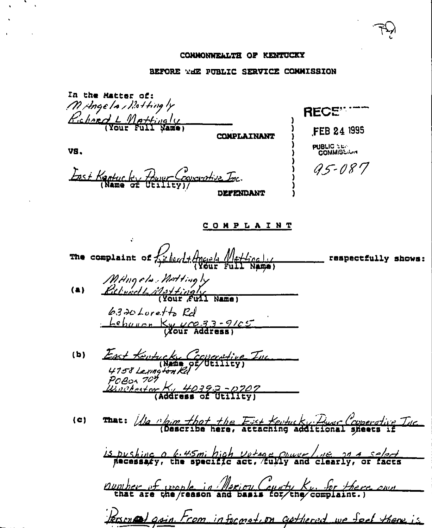# CONNONWEALTH OF KENTUCKY

# BEFORE THE PUBLIC SERVICE CONNISSION

In the Matter of: M Angela , Pottingly RECE"... Kichard L Mottingly FEB 24 1995 COMPLAINANT **PUBLIC SERVICE** VS.  $95 - 087$ East Kentucky Pwer Conventure Inc. DEFENDANT <u>COMPLAINT</u> or Lichards Angels Matting The complaint respectfully shows: MHngels Mattingly<br>Richard L. Mottingly  $\left( \bullet \right)$ 6320 Luretto Rd <u>Lebuurn Kw um 33-9165</u> East Kentucky Commetive Inc<br>4758 Lenneton Ref (BELLLEY)<br>POBOS 707  $(b)$ Usuchestor K, 40393-0707 Ula claim that the East Keutucky Duri Copperative The  $(c)$ is bushing a k. 45mi high votes Chuse (ne 31 4 select number of weble in Merion County Ky. for there own Personnel gain. From information gathered we feel there is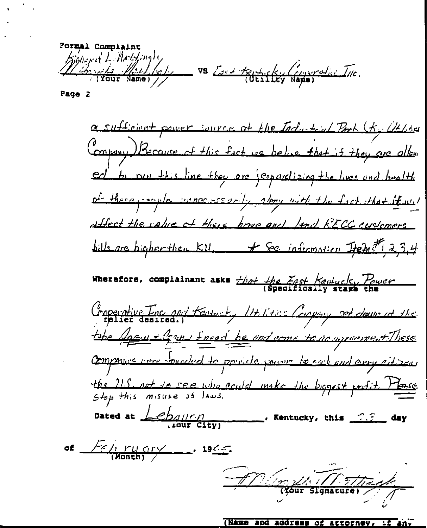Pormal Complaint Sipport L. Nattingle 3et tentucky Raper othe Inc. *Sela (Kali)*<br>(Your Name)

Page 2

a sufficient power source of the Industrial Park (K. Utlies Company)Because of this fact we belive that if they are allow  $-$ to run this line they are jeepardizing the lives and bealth of these prople unnecreasedy along with the fact that if we Affect the value of there hove and land RECC customers \* See information Items 2 bills are higher then KU. Wherefore, complainant asks  $\frac{f_{\text{net}}}{f_{\text{theta}}}$   $\frac{f_{\text{net}}}{f_{\text{theta}}}$   $\frac{f_{\text{theta}}}{f_{\text{theta}}}$  the Coperative Inc. and Kentuck, Utilities Company and down of the tabe 400 11 - 2010 1 f need be not come to an agree me + These Componies were founded to previde power to each and every citizen. the IIS, not to see who could make the biogest profit. Plasse.<br>Stop this misuse of laws. Dated at  $\angle \text{Chaurin}_{100r \text{ Ctey}}$ , Rentucky, this  $f(x) = \frac{1}{2}$  day of  $\frac{\sqrt{c}}{\sqrt{m}}$  (Honth)  $\frac{c_1r\sqrt{m}}{m}$ , 19 $\frac{c_1r\sqrt{m}}{m}$ <u>Michael</u>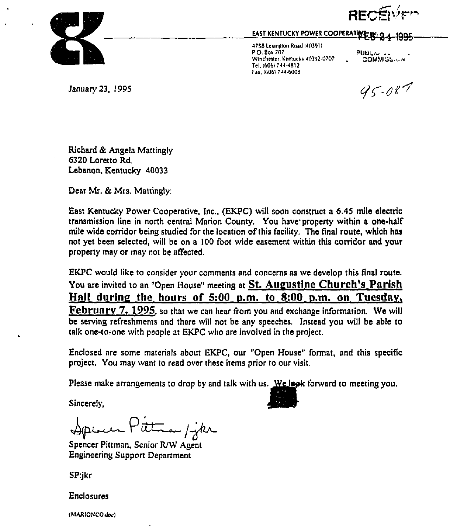



January 23, 1995

# EAST KENTUCKY POWER COOPERAT WE B: 24-1995

4758 Lexington Road (40391)<br>P.O. Box 707 P.O. Bax ra) PUul.n Wineherter, KentaeLV 41)\8i.t))0 . OOMMlabn <sup>V</sup> Tel, (606) 744-4812 Fax.tbabl 344.8008

 $95 - 087$ 

Richard & Angela Mattingly 6320 Loretto Rd. Lebanon, Kentucky 40033

Dear Mr. & Mrs. Mattingly;

East Kentucky Power Cooperative, Inc., (EKPC) will soon construct a 6.45 mile electric transmission line in north central Marion County. You have'property within a one-halE mile wide corridor being studied for the location ofthis facility. The final route, which has not yet been selected, will be on a 100 foot wide easement within this corridor and your property may or may not be affected.

EKPC would like to consider your comments and concerns as we develop this final route. You are invited to an "Open House" meeting at St. Augustine Church's Parish Hall during the hours of  $5:00$  p.m. to  $8:00$  p.m. on Tuesday, **February 7, 1995**, so that we can hear from you and exchange information. We will be serving refreshments and there will not be any speeches. Instead you will be able to talk one-to-one with people at EKPC who are involved in the project,

Enclosed are some materials about EKPC, our "Open House" format, and this specific project. You may want to read over these items prior to our visit.

Please make arrangements to drop by and talk with us. We look forward to meeting you,

Sincerely,

 $P\dot{a}$ t $=$ a /ykr

Spencer Pittman, Senior R/W Agent Engineering Support Depanment

SP:jkr

Enclosures

(MARIONCO.doc)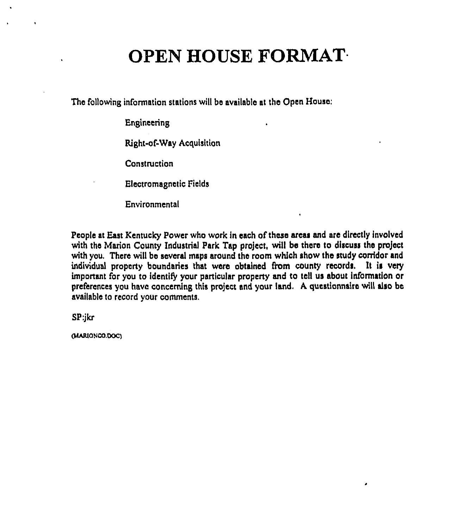# OPEN HOUSE FORMAT.

The following information stations will be available at the Open House,

Engineering

Right-of-Way Acquisition

**Construction** 

Electromagnetic Fields

Environmental

People at East Kentucky Power who work in each of these areas and are directly involved with the Marion County Industrial Park Tap project, will be there to discuss the project with you, There will be several maps around the room which show the study corridor and individual property boundaries that were obtained from county records. It is very important for you to identify your particular property and to tell us about information or preferences you have concerning this project and your land. A questionnaire will also be available to record your comments.

SP:jkr

(MARIONco.ooc)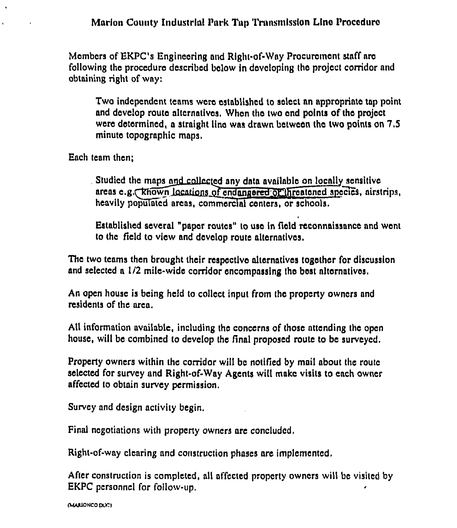Members of EKPC's Engineering and Right-of-Way Procurement staff arc following the procedure described below in developing the project corridor and obtaining right of way:

Two indcpcndcnt teams were established to select an appropriate tap point and develop route alternatives. When the two end points of the project were determined, a straight line was drawn between the two points on 7.5 minute topographic maps.

Each team then;

 $\mathbf{r}$ 

. Studied the maps and collected any data available on locally sensitiv areas e.g. Khown locations of endangered of hreatened species, airstrips heavily populated areas, commercial conters, or schools.

Established several "paper routes" to use ln field reconnaissance and wont to the field to view and develop route alternatives.

The two teams then brought their respective alternatives together for discussion and selcctcd a l/2 mile-wide corridor encompassing tho best altornativcs.

An open house is being held to collect input from tho property owners and residents of the area.

All information available, including the concerns of those attending thc open house, will be combined to develop the final proposed route to be surveyed.

Property owners within the corridor wiil bc notified by mail about the route selected for survey and Right-of-Way Agents will make visits to each owner affected to obtain survey permission.

Survey and design activity begin.

Final negotiations with property owners are concluded.

Right-of-way clearing and construction phases arc implcmcntcd.

After construction is completed, all affected property owners will be visited by EKPC personnel for follow-up.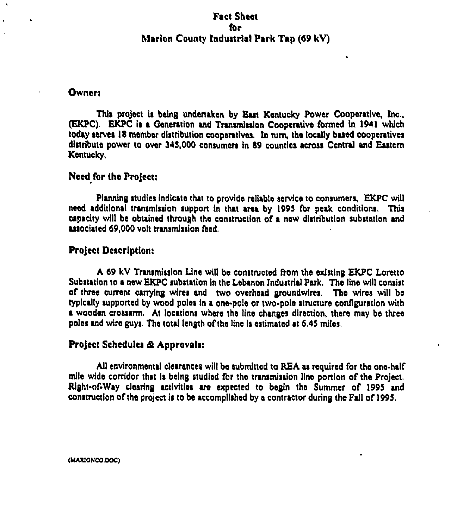# Fact Sheet for Marion County Industrial Park Tap (69 kV)

# Owner!

This project ls being undertaken by Bast Kentucky Power Cooperative, Inc., (EKPC), EKPC is a Generation and Transndsslon Cooperative formed in 1941 wldch today serves 1\$ member distribudon cooperatives, In turn, the locally based cooperatives distribute power to over 345,000 consumers in 89 counties across Central and Eastern Kentucky,

# Need for the Project:

Planning studies indicate that to provide reliable service to consumers, EKPC will need additional transmission support in that area by 1995 for peak conditions. This capacity will be obtained through the construction of a new distribution substation and associated 69,000 volt transmission tbed,

# Project Description:

A 69 kV Transmission Line will be constructed from the existing EKPC Loretto Substation to a new EKPC substation in the Lebanon Industrial Park. The line will consist of three current canying wires and two overhead groundwires. The wires will be typically supported by wood poles in a one-pole or two-pole structure configuration with a wooden crossarm. At locations where the line changes direction, there may be three poles and wire guys, The total length ofthe line is estimated at 6,45 miles,

# Project Schedules & Approvals:

All environmental clearances will be submitted to REA as required for the one-half mile wide corridor that is being studied tbr the transmission line portion of the Project, Right-of-Way clearing activities are eapected to begin the Summer of 1995 and construction of the project is to be accomplished by a contractor during the Fall of 1995.

OIARIONco,ooc)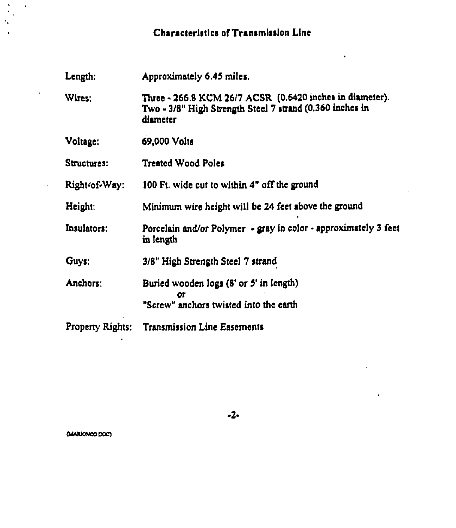# Characteristics of Transmission I.lne

 $\hat{\bullet}$ 

 $\epsilon$ 

| Length:                    | Approximately 6.45 miles.                                                                                                        |
|----------------------------|----------------------------------------------------------------------------------------------------------------------------------|
| Wires:                     | Three - 266.8 KCM 26/7 ACSR (0.6420 inches in diameter).<br>Two - 3/8" High Strength Steel 7 strand (0.360 inches in<br>diameter |
| Voltage:                   | 69,000 Volts                                                                                                                     |
| Structures:                | <b>Treated Wood Poles</b>                                                                                                        |
| Right <sub>40f</sub> -Way: | 100 Ft. wide cut to within 4" off the ground                                                                                     |
| Height:                    | Minimum wire height will be 24 feet above the ground                                                                             |
| Insulators:                | Porcelain and/or Polymer - gray in color - approximately 3 feet<br>in length                                                     |
| Guys:                      | 3/8" High Strength Steel 7 strand                                                                                                |
| Anchors:                   | Buried wooden logs (8' or 5' in length)<br>Oľ<br>"Screw" anchors twisted into the earth                                          |
| <b>Property Rights:</b>    | <b>Transmission Line Easements</b>                                                                                               |

(MAJUONCO DOC)

 $\begin{pmatrix} \mathbf{y}_1 & \mathbf{y}_1 \\ \mathbf{y}_1 & \mathbf{y}_2 \\ \mathbf{y}_2 & \mathbf{y}_3 \end{pmatrix}$ 

 $\langle \cdot, \cdot \rangle$ 

 $\hat{\mathcal{A}}$ 

 $\mathbf{A}$ 

 $-2-$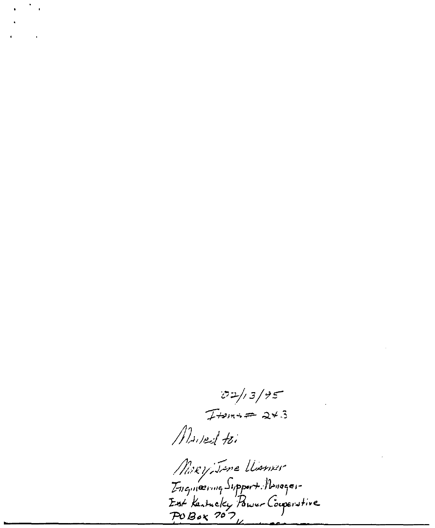$02/13/95$  $I+3m+2*3$ 

Marved to:

Mary, Jine Wanner<br>Inginering Support Nanoger<br>Est Kestucky Power Cooperstive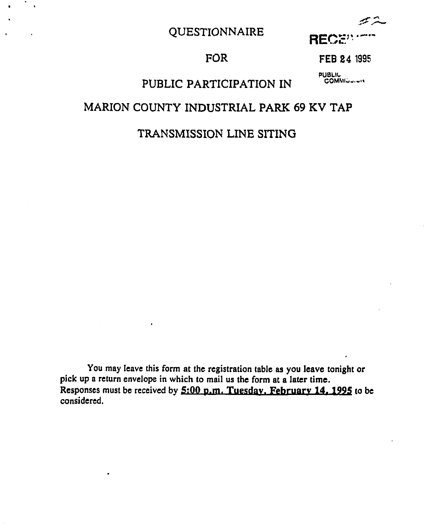# QUESTIONNAIRE RECE<sup>N</sup>



FOR **FEB 24 1995** 

PUBLIC PARTICIPATION IN

**PUBLIC**<br>COMMISSION

# MARION COUNTY INDUSTRIAL PARK 69 KV TAP

TRANSMISSION LINE SITING

You may leave this form at the registration table as you leave tonight or pick up a return envelope in which to mail us the form at a later time. Responses must be received by 5:00 p.m. Tuesday. February 14. 1995 to be considered.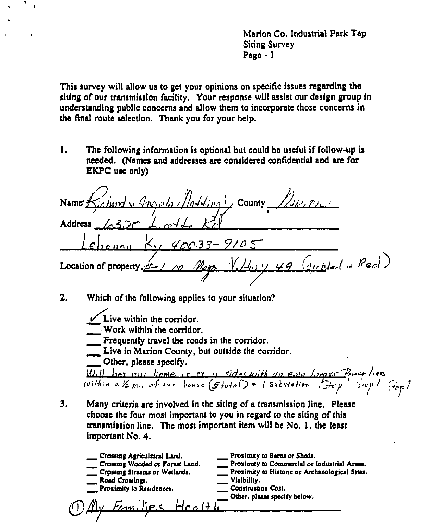Marion Co. Industrial Park Tap Siting Survey Page - I

This survey will allow us to get your opinions on specific issues regarding the siting of our transmission facility. Your response will assist our design group in understanding public concerns and allow them to incorporate those concerns in the final route selection. Thank you for your help.

1. The following information is optional but could be useful if follow-up is needed. (Names and addresses are considered conftdential and are for EKPC use only)

 $^{\prime}$ Name  $K$  is hard  $\sqrt{2n}$  (else la  $\sqrt{ln(1+i n a)}$  County. /  $\sqrt{1+2\ell}$ Address  $\sqrt{3.2}$   $\sqrt{2.2}$  $I \sim 400.33 - 9105$ Location of property  $\not\equiv$  1 cn, Napp,  $\sqrt{2\omega y/49}$  (circled in Real)  $\eta$ 

- 2. Which of the following applies to your situation?
	- $\sqrt{\text{Live within the corridor.}}$
	- $\overline{\phantom{a}}$  Work within the corridor.
	- Frequently travel the roads in the corridor.
	- Live in Marion County, but outside the corridor,
	- Other, please specify.

Will ber our home in on 4 sides with an even linger Power live ttr Ill <sup>I</sup> <sup>r</sup> I~ rrt... <sup>I</sup> vu <sup>b</sup> tu (g)ugvtl) t <sup>I</sup> Ssbsrel sv,>,' ,vcr <sup>I</sup>

3. Many criteria are involved in the siting of a transmission line. Please choose the four most important to you in regard to the siting of this transmission line. The most important item will be No. I, the least important No. 4.

Crossing Agricultural Land. Crossing Wooded or Porsst Land, Crossing Streams or Wetlands. Road Crossings, Proximity to Residences. Proximity to Barns or Sheds. Proximity to Commercial or tndustrial Areas. Proximity to Historic or Archaeological Sites. Visibility. Construction Cost. Other. please specify below. lr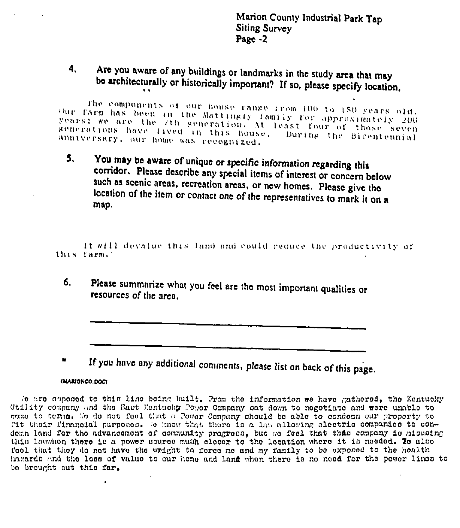Marion County Industrial Park Tap Siting Survey Page -2

# 4. <sup>A</sup>re you aware of any buildings or landmarks in the study area that may be architecturally or historically important? If so, please specify location,

la components of our house range from 100 to 150 years old.<br>Our farm has been in the Mattingly family for approximately 200 years: we are the 7th generation, At least four of those seven During the Bicentennial senerations have lived in this house. anniversary, our home was recognized.

5. You may be aware of unique or specific information regarding this corridor. Please describe any special items of interest or concern below such as scenic areas, recreation areas, or new homes. Please give the location o map.

It will devalue this land and could reduce the productivity of this farm,

6. <sup>p</sup>lease summarize what you feel are the most important qualities or resources of the area.

lf you have any additional comments, please list on back of this page,

# (MARIONCO.DOC)

.'o are opposed to thin lino being built. From the information we have gathered, the Kontucky Utility company and the East Montuoky Power Company sat down to negotiate and were unable to come to terms. To do not feel that a Power Company should be able to condomn our property to fit thoir finanoial purposes. So know that there is a law allowing alectric companies to condomn land for the advancement of community progress, but we feel that that company is misusing that this low in the set of the location where it is needed. To also fool that thoy do not have the wright to force me and my family to be exposed to the hoalth luxzardo and the loss of value to our home and land when there is no need for the power lines to bo brought out this far.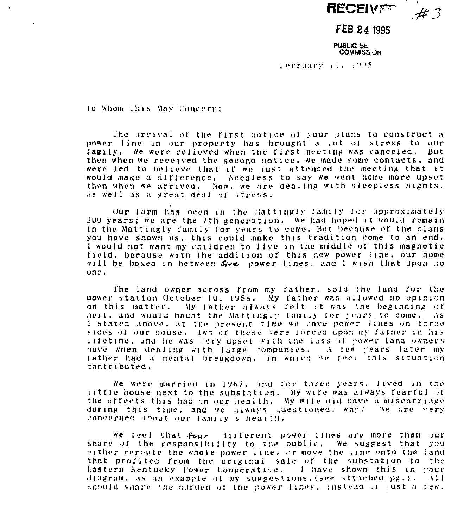**RECEIVER** 

FEB 24 1995

**PUBLIC SE COMMISSION** 

Penruary il. 1998

lo Whom This May Concern:

 $\sim 100$ 

The arrival of the first notice of your plans to construct a power line on our property has brought a lot of stress to our family. We were relieved when the first meeting was canceled. But. then when we received the second notice, we made some contacts, and were led to believe that if we just attended the meeting that it would make a difference. Needless to say we went home more upset then when we arrived. Now, we are dealing with sleepless nights. as well as a great deal of stress.

Our farm has been in the Mattingly family for approximately 200 years: we are the 7th generation. We had hoped it would remain in the Mattingly family for years to come. But because of the plans you have shown us, this could make this tradition come to an end. I would not want my children to live in the middle of this magnetic field, because with the addition of this new power line, our home will be boxed in between  $\mathcal{L} \in \mathcal{L}$  power lines, and I wish that upon no one.

The land owner across from my father, sold the land for the power station October 10, 1958. My father was allowed no opinion My rather always felt it was the beginning of on this matter. heil, and would haunt the Mattingly family for years to come. As I stated above, at the present time we have power lines on three sides of our house. Iwo of these were forced upon my father in his lifetime, and he was very upset with the loss of power land owners have when dealing with large companies. A few gears later my father had a mental breakdown, in which we feel this situation contributed.

We were married in 1967, and for three years. lived in the little house next to the substation. My wife was always fearful of the effects this had on our health. My wife did have a miscarriage during this time, and we always questioned, why? We are very concerned about our family s health.

We leel that four different power lines are more than our share of the responsibility to the public. We suggest that you either reroute the whole power line, or move the line onto the land that profited from the original sale of the substation to the hastern hentucky Power Cooperative. I have shown this in your diagram, as an example of my suggestions. (see sttached pg.). All should share the burden of the power lines, instead of just a few.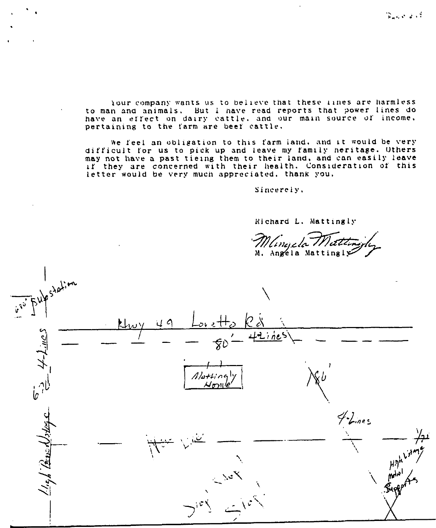$\mathcal{P}_{\mathbf{a}}$  and  $\mathcal{P}_{\mathbf{a}}$  is  $\mathcal{P}_{\mathbf{a}}$ 

Your company wants us to believe that these lines are harmless to man and animals. But I have read reports that power lines do have an effect on dairy cattle, and our main source of income. pertaining to the farm are beef cattle.

We feel an obligation to this farm land, and it would be very difficult for us to pick up and leave my family heritage. Others may not have a past tieing them to their land, and can easily leave if they are concerned with their health. Consideration of this letter would be very much appreciated, thank you.

Sincercly,

Richard L. Mattingly

Unyela Watti M. Angela Mattingly

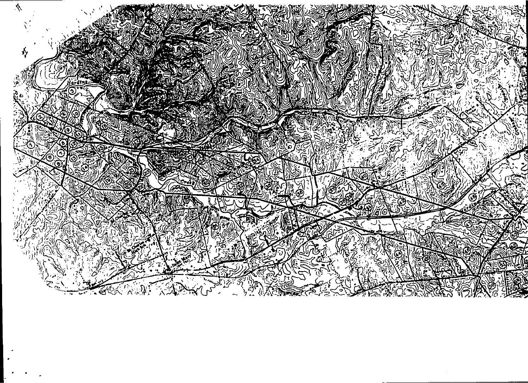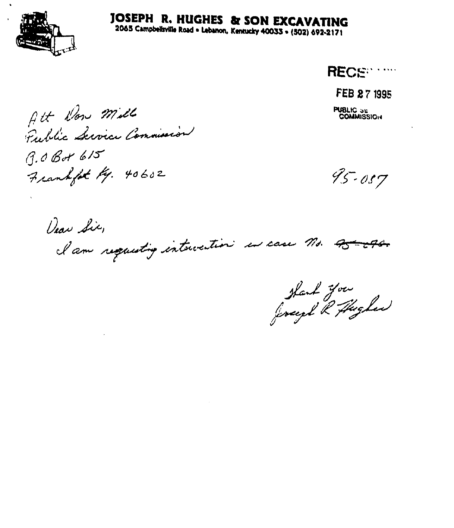



2065 Campbellsville Road . Lebanon, Kentucky 40033 . (502) 692-2171

RECENSION

FEB 27 1995

**PUBLIC SE**<br>COMMISSION

Att Don Mill Fublic Service Commission

 $9.0$  Bot 615 Frankfot Kg. 40602

 $95 - 087$ 

Dear Sir, I am requesting interestion in case no. 25-290.

Start you<br>Jerseye & Hugher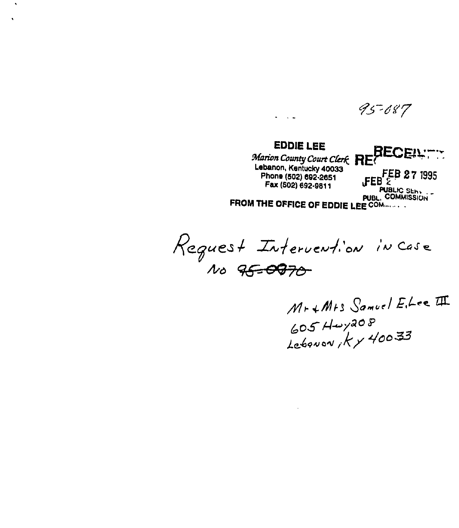$95 - 087$ 

# **EDDIE LEE**

 $\sim 100$  km s  $^{-1}$ 

 $\ddot{\phantom{1}}$ 

Lebanon, Kentucky 40033 Phone (502) 692-2651 Fax (502) 692-9811



FROM THE OFFICE OF EDDIE LEE COM ......

Request Intervention in Case

Mr & Mrs Samuel E.Lee III  $605$  Hwy208 Lebonon, Ky 40033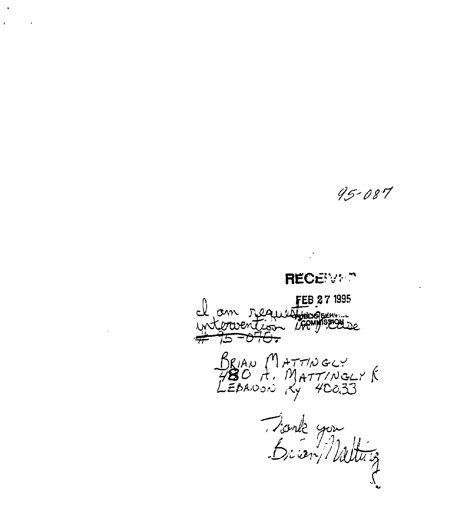$45 - 087$ 

# RECENT " dam requestion 27 1995 BRIAN MATTINGLY<br>780 A. MATTINGLY K

Frank you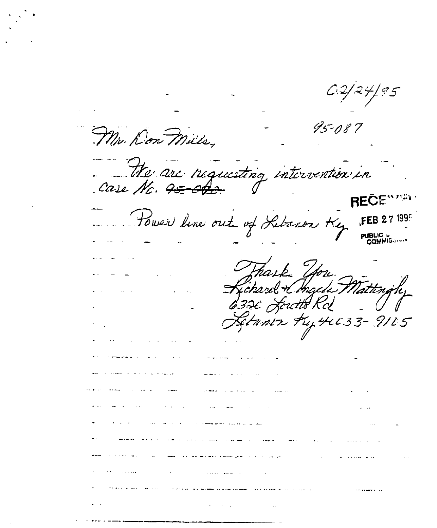02/24/95 95-087 Mr. Don Mills, tte are requesting intervention in Power line out of Rebasson Ky FEB Thark You. Letanon try 4203.  $25$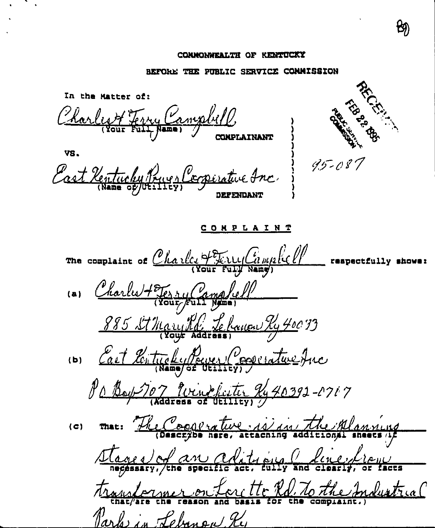## **CONNONWEALTH OF KENTUCKY**

# **BEFORE THE PUBLIC SERVICE COMMISSION**

In the Matter of: <u>harles of Jerry Campbell</u> VS.  $95 - 087$ Cast Ventucky Rugs Cooperative Anc. **COMPLAINT** The complaint of Charles PETTERUCOMPLE \_\_ respectfully showe: Charles + Derry Campbell  $\left( a\right)$ 885 St Mary La Lanow Ry 40033 Cart lentucky Perry Cooperative Anc  $(b)$ Pa Bap 707 Evingheiter 24 40392-0717 mat: The Cooperature is in the Manning  $(c)$ Tage of an additional line, Line, Lewis transformer on Loretto Rd. To the Industrial Parle in Lebanon Ky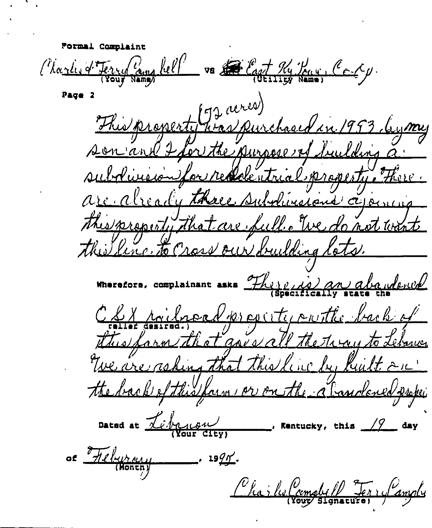Formal Complaint Charles d'Ierry Comp hell' vs Ent Ry Paus Comp. For wiee This property to ras purchased in 1953 by my son and I for the purpose of building a subdivision for resolutrial property. There are already three subdivisions opening This property that are full . The do not want this line to cross our building lots. There is an abandemed Wherefore, complainant asks C&X roilseal presity outte hack of <u>at goes all the tway to Lebance</u> Tussfarmed The are asking that this line by built on the back of this farm or on the a Candoned proper <u>Libracon</u> Rentucky, this  $\sqrt{2}$ Dated at day of Helyhany  $.1991.$ Phailly Complete Jerry Camply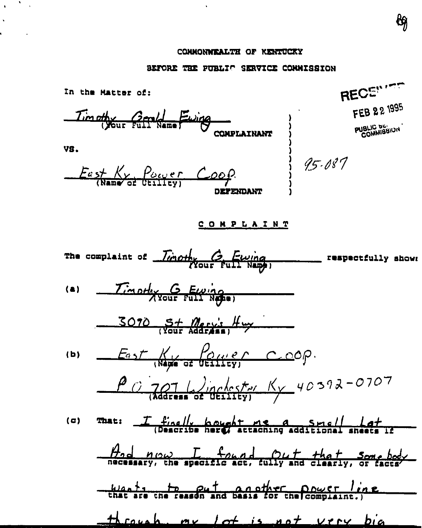### CONNONWEALTH OF KENTUCKY

# **BEFORE THE PUBLIC SERVICE CONNISSION**

In the Matter of:

RECENTER FEB 22 1995 Timothy Cereld Ewing **PUBLIC DESION ONPLAINANT** VS.  $95.087$ East Ky Power Coop **EFENDANT** <u>COMPLAINT</u> The complaint of Timothy G. Ewing respectfully show: Timothy G Ewing  $(a)$  $3070$   $5 +$  Mary's  $H_{\frac{1}{2}}$  $E_{\text{ast}}$   $K_{\text{max}}$  of verticy,  $C_{\text{c}}$  $(b)$ PC 707 Winchester Ky 40392-0707 I finally bought me a small Lat  $(5)$ Had now I found Out that Some body thant, to put another power line through my lot is not very big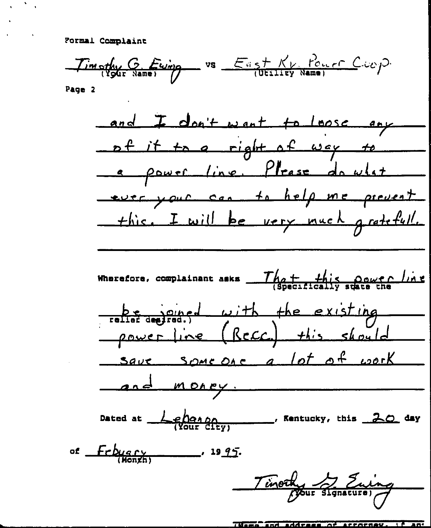Formal Complaint

Timothy G. Eving vs East Ky Power C.UC) Page 2

and I don't want to loose any of it to a right of way to a power line. Please do what ever your can to help me prevent this. I will be very much gratefull. Wherefore, complainant asks  $Tha + This$   $Converc line$ be joined with the existing power line (Recc) this should some one a lot of work  $Save$ and money. Dated at  $\frac{L_{\text{e}}}{\text{120u} \cdot \text{212}}$ Rentucky, this 20 day of Frbuary  $-$ , 19<u>95</u>.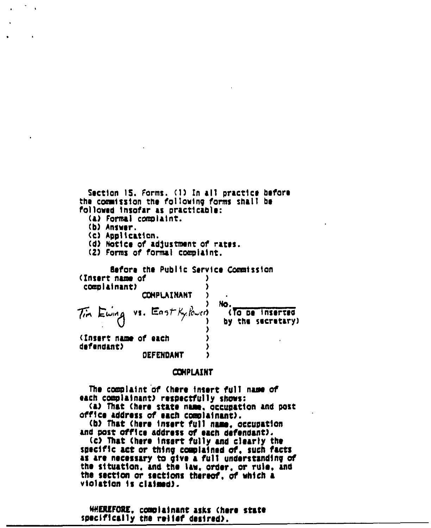Section 15. Forms. (1) In all practice before the commission the following forms shall be followed insofar as practicable: (a) Formal complaint.

- (b) Answer.
- (c) Application.
- (d) Notice of adjustment of rates.
- (2) Forms of formal complaint.

| Before the Public Service Commission<br>(Insert name of<br>compiainant) |  |
|-------------------------------------------------------------------------|--|
| <b>COMPLAINANT</b>                                                      |  |
| Tin Ewing vs. East Ky. Power (To be Inserted)                           |  |
| (Insert name of each<br>defendant)                                      |  |
| <b>OEFENDANT</b>                                                        |  |

# **COMPLAINT**

The complaint of Chere insert full name of each complainant) respectfully shows: (a) That Chere state name, occupation and post office address of each complainant).

(b) That Chere insert full name, occupation and post office address of each defendant).

(c) That (here insert fully and clearly the specific act or thing complained of, such facts<br>as are necessary to give a full understanding of the situation, and the law, order, or rule, and the section or sections thereof, of which a violation is claimed).

WHEREFORE, complainant asks (here state specifically the relief desired).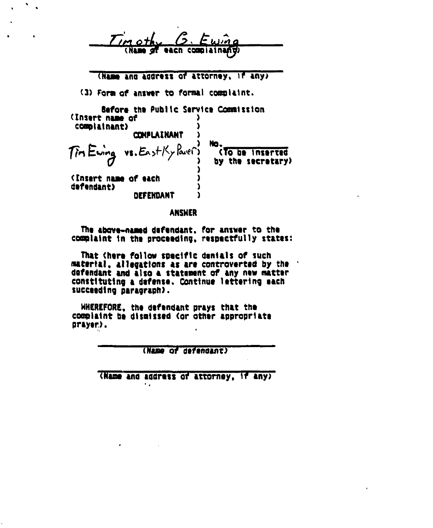| $Imoth-0. Ewna$ |  |                            |  |
|-----------------|--|----------------------------|--|
|                 |  | (Name of each complainant) |  |

(Name and address of attorney, if any)

(3) Form of answer to formal complaint.

 $\sum_{i=1}^{N}$ 

 $\ddot{\phantom{a}}$ 

| Before the Public Service Commission           |  |
|------------------------------------------------|--|
| (Insert name of                                |  |
| complainant)                                   |  |
| <b>CONFLAINANT</b>                             |  |
| Tim Ewing vs. Eastly Parentless to be inserted |  |
|                                                |  |
|                                                |  |
| (Insert name of each                           |  |
| defendant)                                     |  |
| <b>DEFENDANT</b>                               |  |

**ANSHER** 

The above-named defendant, for answer to the complaint in the proceeding, respectfully states:

That (here follow specific denials of such material, allegations as are controverted by the defendant and also a statement of any new matter constituting a defense. Continue lettering each succeeding paragraph).

HHEREFORE, the defendant prays that the complaint be dismissed (or other appropriate prayer).

(Name of defendant)

(Name and address of attorney, if any)  $\epsilon_{\rm eff}$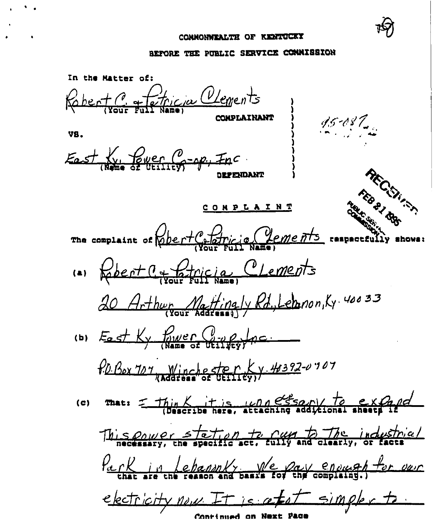# IMONNEALTH OF KENTUCK

# **BEFORE THE PUBLIC SERVICE COMMISSION**

In the Matter of: Robert C + Fetricia Clements  $15 - 037$ VR. East Ky Pever Co-op, Inc. CONPLAINT The complaint of pobert Colombie (lements respectally shows! (a) Robert C + Pricia CLements 20 Arthur Mattingly Rd., Lebonon, Ky. 40033 (b) East Ky Power Composition P.D. Box 707, Winchester, Ky 40392-0707  $\texttt{max:} \equiv \textit{min} \times \text{lim} \times \textit{max}$  $(c)$ This power station to Guy to The industrial Park in Lebananty Ne pay enough for our electricity new It is atest simplex to

ontinued on Next Page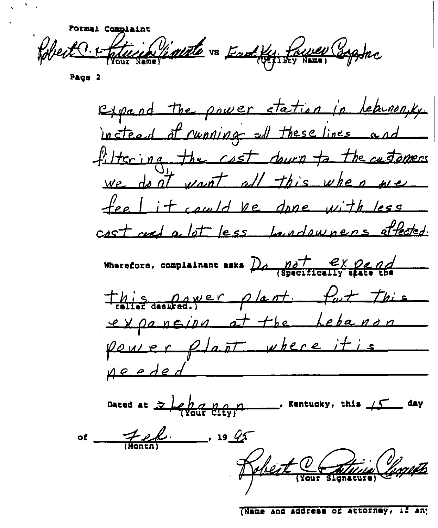Pobert + Chicardiante vs Eart Har Power Baptis

Page 2

expand the power station in Leburary instead of running all these lines and filtering the cost down to the customers we don't want all this when we feel it could be done with less cost and a lot less handowners atlected. Wherefore, complainant asks  $D_{\theta}$ ,  $p_{\theta}+$  expendix This power plant. Put this expansion at the Lebanon pouver plant where it is needed Dated at  $\frac{1}{x}$  of  $\frac{b}{x}$   $\frac{a}{y}$   $\frac{c}{y}$ , Kentucky, this  $\sqrt{2}$  day of  $\pm e^{f}$ . 1945 Kebert Cour signeers, Comette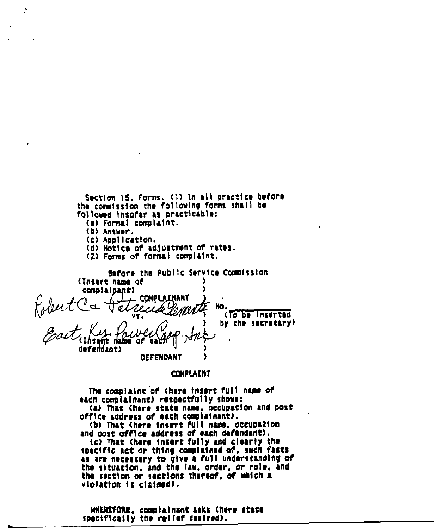| Section 15. Forms. (1) In all practice before<br>the commission the following forms shall be<br>followed insofar as practicable:<br>(a) Formal complaint.<br>(D) Answer.<br>(c) Application.<br>(d) Notice of adjustment of rates.<br>(2) Forms of formal complaint. |                                                       |
|----------------------------------------------------------------------------------------------------------------------------------------------------------------------------------------------------------------------------------------------------------------------|-------------------------------------------------------|
| Safore the Public Service Commission<br>Clasert name of<br>compialDant)<br>Hetrician<br>Cart (Inserte man of each of the<br><b>DEFENDANT</b>                                                                                                                         | No.<br><b>Inserted</b><br>(To be<br>by the secretary) |

 $\mathcal{N} \rightarrow \mathcal{N}$ 

# **COMPLAINT**

The complaint of there insert full name of each complainant) respectfully shows: (a) That Chere state name, occupation and post office address of each complainant).

(b) That (here insert full name, occupation and post office address of each defendant). (c) That Chere insert fully and clearly the specific act or thing complained of, such facts<br>as are necessary to give a full understanding of the situation, and the law, order, or rule, and the section or sections thereof, of which a violation is claimed).

WHEREFORE, complainant asks (here state specifically the relief desired).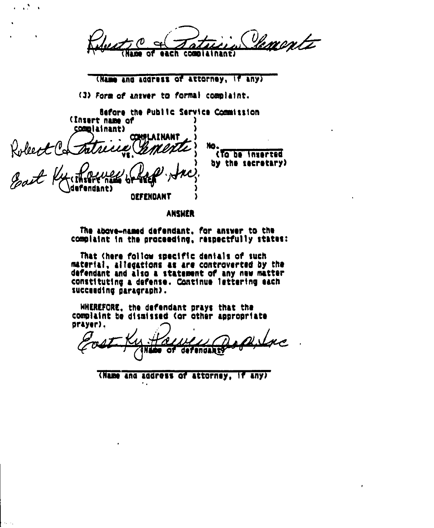lemente each com

(Hame and address of attorney, if any)

(3) Form of aniver to formal complaint.

Bafore the Public Service Commission Clasent name of Complainant) **CONFLAT** Robert Cd<br>Gast Kx (To be inserted by the secretary) DEFENDANT ١

 $\mathbb{R}^N$ 

 $\sim$   $\sim$ 

ANSHER

The above-named defendant, for answer to the complaint in the proceeding, respectfully states:

That there follow specific denials of such material, allegations as are controverted by the defendant and also a statement of any new matter constituting a defense. Continue lettering each succeeding paragraph).

WHEREFORE, the defendant prays that the complaint be dismissed (or other appropriate prayer).

endah

(Name and address of attorney, if any)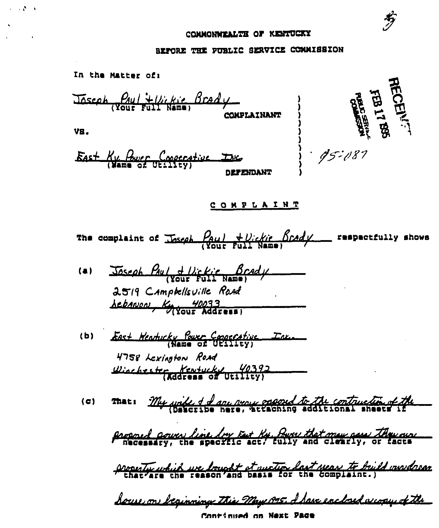医心腔下的

# BEFORE THE PUBLIC SERVICE COMMISSION

|       | In the Matter of:                                                                                                                       |
|-------|-----------------------------------------------------------------------------------------------------------------------------------------|
| VB.   | <b>RECEIVERED</b><br>Joseph, Paul Hillickie Brady<br><b>RESIRE</b><br>VERSIRE<br>COMPLAINANT                                            |
|       |                                                                                                                                         |
|       | $95 - 187$<br>East Ky Power Cooperative INC<br><b>DEPENDANT</b>                                                                         |
|       | <b>COMPLAINT</b>                                                                                                                        |
|       | The complaint of $\frac{1}{\text{Ioseph}} \frac{\rho_{all}}{\rho_{out}} + \frac{\rho_{i'}.\rho_{ir}}{\text{Name}}$<br>respectfully show |
| (a)   | Joseph Paul & Vickie Brady                                                                                                              |
|       | 2519 Campbellsville Road                                                                                                                |
|       | <u>Acbanon, Ky 40033</u>                                                                                                                |
| (b)   | East Heatucky Power Corporative Iam                                                                                                     |
|       | 4758 Lexington Road                                                                                                                     |
|       | Winchester Kentucky (2392                                                                                                               |
| ( c ) | My wife of dany move engored to the contruction of the<br><b>That:</b>                                                                  |

Proposed power lime by East Hy Burn that may gave they away

property which we lought at quetion last year to build movement

<u> Souse on beginning this May 1995, I have enclosed accopy of the</u>

Continued on Next Page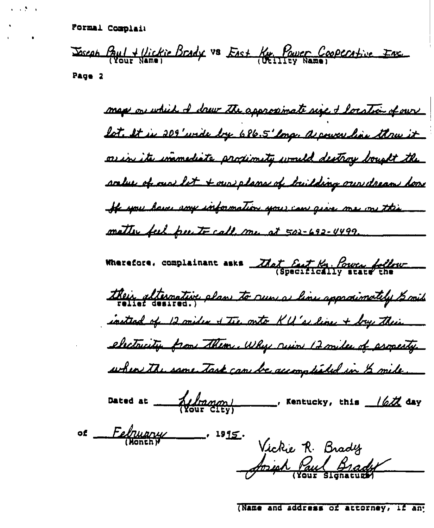Pormal Complain

Joseph Paul + Vickie Brady vs East Ky, Power Cooperative Inc.

Page 2

map on which I drew the approximate size I location of our lot. It in 209 wide by 686.5 long, a souce him three it as in its immediate proximity would destroy bought the scalue of our let + our plance of building our dream home If you have any information you can give me on this matter feel peer to call me at 502-692-4499. That East Ky. Power follow Wherefore, complainant asks their alternative plans to run as line approximately B mil instead of 12 miles of the onto KU's line + by their electricity from them. Why ruin 12 miles of psoperty when the same task can be accomplished in 12 mile. Dated at \_ Aslongon ., Kentucky, this *16Z* day of February 1995. Vickie R. Brady Sorich Paul Brady

(Name and address of attorney, if any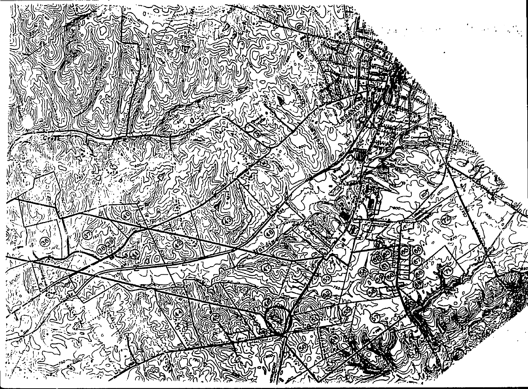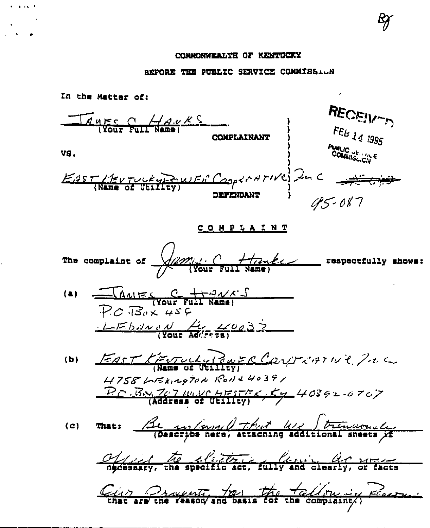# CONNONWEALTH OF KENTUCKY

 $3.15 - 1$ 

# BEFORE THE PUBLIC SERVICE COMMISSION

In the Matter of: **RECEIVED**  $\frac{A \vee F}{B \cup F}$   $C$   $H$   $A \vee K$ FEb 14 1995 COMPLAINANT PUNLIC JE. IL E VS. EAST (Name of VEITIEY) UES CooperATIVE) 2nc<br>DEPENDANT 95-087 COMPLAINT The complaint of Vier (Your Full Name) \_\_ respectfully shows:  $\frac{C_{\text{AUE}} C_{\text{FUL}}}{\sqrt{2C_{\text{VOL}}}}$  $(4)$  $P_{C}$   $B_{V} \times 456$  $\frac{L_F f_1, p_1, p_1, p_1}{(Y \text{out } \text{Ad}(F) \cdot \pi \cdot \pi)}$ EAST CENTULA POWER COMPRATIVE, 7.25  $(b)$  $4758$  LEXINGTON RONA 4039/  $P_{C}$ . Ba, 707 10110 hFSTEC,  $ky$  40392-0707 Be informed that we trenuously  $(c)$ That: Office to chieft the Continue of the Cin Prayents for the fall on rice Pour